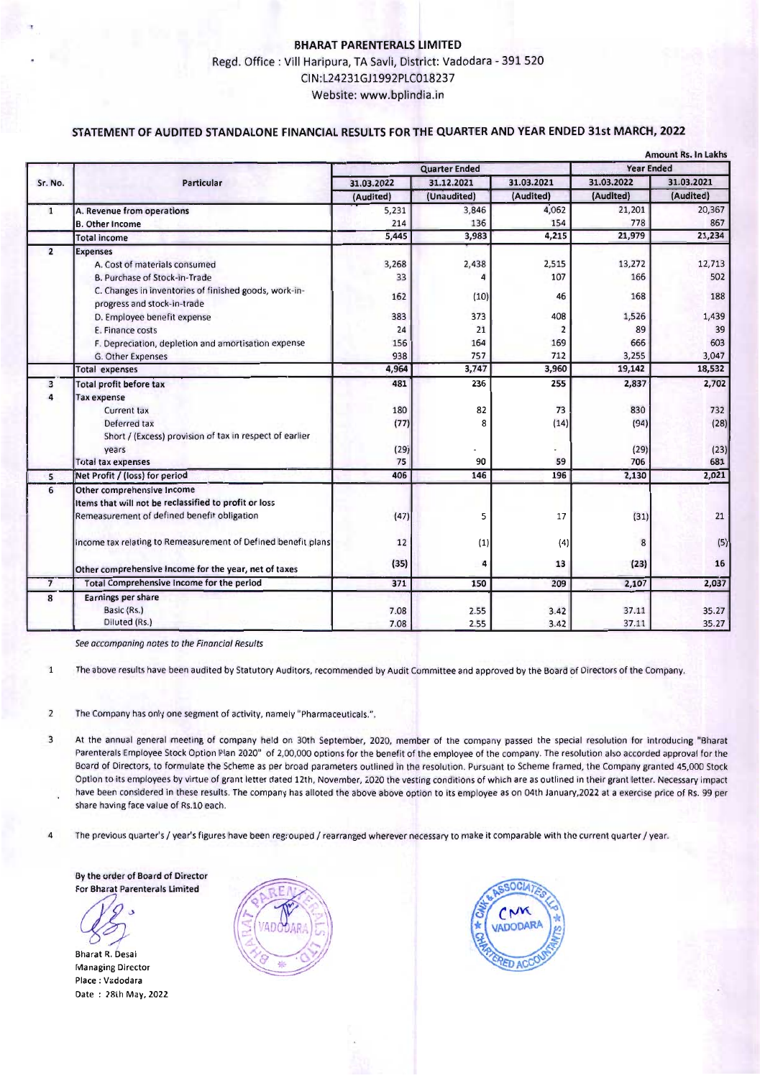## **BHARAT PARENTERALS LIMITED** Regd. Office: Vill Haripura, TA Savli, District: Vadodara - 391 520 CIN:L24231GJ1992PLC018237 Website: www.bplindia.in

#### **STATEMENT OF AUDITED STANDALONE FINANCIAL RESULTS**FOR**THE QUARTER AND YEAR ENDED** 31st **MARCH, 2022**

|                | <b>Amount Rs. In Lakhs</b>                                                           |                      |             |                         |                   |            |
|----------------|--------------------------------------------------------------------------------------|----------------------|-------------|-------------------------|-------------------|------------|
|                | <b>Particular</b>                                                                    | <b>Quarter Ended</b> |             |                         | <b>Year Ended</b> |            |
| Sr. No.        |                                                                                      | 31.03.2022           | 31.12.2021  | 31.03.2021              | 31.03.2022        | 31.03.2021 |
|                |                                                                                      | (Audited)            | (Unaudited) | (Audited)               | (Audited)         | (Audited)  |
| $\mathbf{1}$   | A. Revenue from operations                                                           | 5,231                | 3,846       | 4,062                   | 21,201            | 20,367     |
|                | <b>B.</b> Other Income                                                               | 214                  | 136         | 154                     | 778               | 867        |
|                | <b>Total income</b>                                                                  | 5,445                | 3,983       | 4,215                   | 21,979            | 21,234     |
| $\overline{2}$ | <b>Expenses</b>                                                                      |                      |             |                         |                   |            |
|                | A. Cost of materials consumed                                                        | 3,268                | 2,438       | 2,515                   | 13,272            | 12,713     |
|                | B. Purchase of Stock-in-Trade                                                        | 33                   | 4           | 107                     | 166               | 502        |
|                | C. Changes in inventories of finished goods, work-in-<br>progress and stock-in-trade | 162                  | (10)        | 46                      | 168               | 188        |
|                | D. Employee benefit expense                                                          | 383                  | 373         | 408                     | 1,526             | 1,439      |
|                | E. Finance costs                                                                     | 24                   | 21          | $\overline{\mathbf{c}}$ | 89                | 39         |
|                | F. Depreciation, depletion and amortisation expense                                  | 156                  | 164         | 169                     | 666               | 603        |
|                | G. Other Expenses                                                                    | 938                  | 757         | 712                     | 3,255             | 3,047      |
|                | <b>Total expenses</b>                                                                | 4,964                | 3,747       | 3,960                   | 19,142            | 18,532     |
| $\overline{3}$ | <b>Total profit before tax</b>                                                       | 481                  | 236         | 255                     | 2,837             | 2,702      |
| Δ              | <b>Tax expense</b>                                                                   |                      |             |                         |                   |            |
|                | <b>Current tax</b>                                                                   | 180                  | 82          | 73                      | 830               | 732        |
|                | Deferred tax                                                                         | (77)                 | 8           | (14)                    | (94)              | (28)       |
|                | Short / (Excess) provision of tax in respect of earlier                              |                      |             |                         |                   |            |
|                | years                                                                                | (29)                 |             | ٠                       | (29)              | (23)       |
|                | <b>Total tax expenses</b>                                                            | 75                   | 90          | 59                      | 706               | 681        |
| 5              | Net Profit / (loss) for period                                                       | 406                  | 146         | 196                     | 2,130             | 2,021      |
| 6              | Other comprehensive Income                                                           |                      |             |                         |                   |            |
|                | Items that will not be reclassified to profit or loss                                |                      |             |                         |                   |            |
|                | Remeasurement of defined benefit obligation                                          | (47)                 | 5           | 17                      | (31)              | 21         |
|                | Income tax relating to Remeasurement of Defined benefit plans                        | 12                   | (1)         | (4)                     | 8                 | (5)        |
|                | Other comprehensive income for the year, net of taxes                                | (35)                 | 4           | 13                      | (23)              | 16         |
| $\overline{7}$ | Total Comprehensive Income for the period                                            | 371                  | 150         | 209                     | 2,107             | 2,037      |
| 8              | <b>Earnings per share</b>                                                            |                      |             |                         |                   |            |
|                | Basic (Rs.)                                                                          | 7.08                 | 2.55        | 3.42                    | 37.11             | 35.27      |
|                | Diluted (Rs.)                                                                        | 7.08                 | 2.55        | 3.42                    | 37.11             | 35.27      |

*Seeaccompaning notes to the Financial Results*

1 The above results have been audited by Statutory Auditors, recommended by Audit Committee and approved by the Board of Directors of the Company.

2 The Company has only one segment of activity, namely "Pharmaceuticals.".

3 At the annual general meeting of company held on 30th September, 2020, member of the company passed the special resolution for introducing "Bharat Parenterals Employee Stock Option Plan 2020" of 2,00,000 options for the benefit of the employee of the company. The resolution also accorded approval for the Board of Directors, to formulate the Scheme as per broad parameters outlined in the resolution. Pursuant to Scheme framed, the Company granted 45,000 Stock Option to its employees by virtue of grant letter dated 12th, November, 2020 the vesting conditions of which are as outlined in their grant letter. Necessary impact have been considered in these results. The company has alloted the above above option to its employee as on 04th January,2022 at a exercise price of Rs.99 per share having face value of Rs.l0 each.

4 The previous quarter's / year's figures have been regrouped *I* rearranged wherever necessaryto make it comparable with the current quarter *I* year.

By the order of Board of Director For Bharat Parenterals Limited

Bharat R.Desai **Managing Director** Place: Vadodara Date: 28th May, 2022



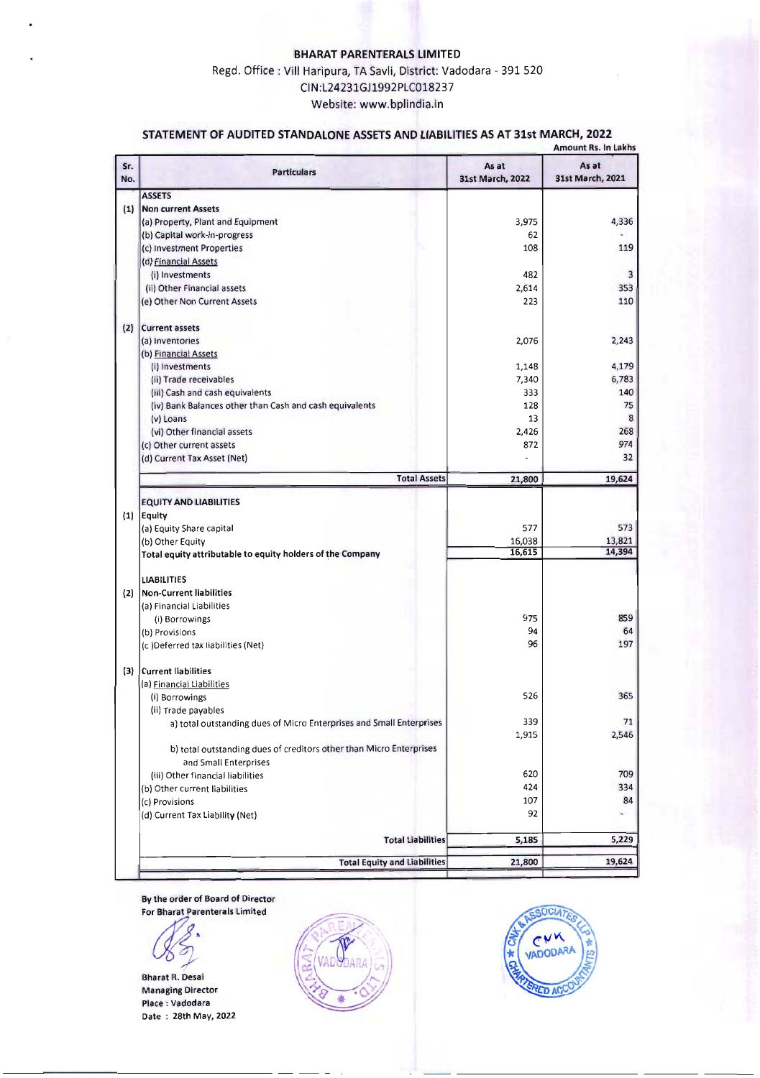## **BHARAT PARENTERALS LIMITED** Regd. Office: Vill Haripura, TA Savli, District: Vadodara - 391 520

CIN:L24231GJ1992PLC018237 Website: www.bplindia.in

## **STATEMENT OF AUDITED STANDALONE ASSETSAND LIABILITIES AS AT 31st MARCH, 2022**

|            |                                                                                              | <b>Amount Rs. In Lakhs</b> |                           |  |  |
|------------|----------------------------------------------------------------------------------------------|----------------------------|---------------------------|--|--|
| Sr.<br>No. | <b>Particulars</b>                                                                           | As at<br>31st March, 2022  | As at<br>31st March, 2021 |  |  |
|            | <b>ASSETS</b>                                                                                |                            |                           |  |  |
| (1)        | <b>Non current Assets</b>                                                                    |                            |                           |  |  |
|            | (a) Property, Plant and Equipment                                                            | 3,975                      | 4,336                     |  |  |
|            | (b) Capital work-in-progress                                                                 | 62                         |                           |  |  |
|            | (c) Investment Properties                                                                    | 108                        | 119                       |  |  |
|            | (d) Financial Assets                                                                         |                            |                           |  |  |
|            | (i) Investments                                                                              | 482                        | 3                         |  |  |
|            | (ii) Other Financial assets                                                                  | 2,614                      | 353                       |  |  |
|            | (e) Other Non Current Assets                                                                 | 223                        | 110                       |  |  |
| (2)        | <b>Current assets</b>                                                                        |                            |                           |  |  |
|            | (a) Inventories                                                                              | 2,076                      | 2,243                     |  |  |
|            | (b) Financial Assets                                                                         |                            |                           |  |  |
|            | (i) Investments                                                                              | 1,148                      | 4,179                     |  |  |
|            | (ii) Trade receivables                                                                       | 7,340                      | 6,783                     |  |  |
|            | (iii) Cash and cash equivalents                                                              | 333                        | 140                       |  |  |
|            | (iv) Bank Balances other than Cash and cash equivalents                                      | 128                        | 75                        |  |  |
|            | (v) Loans                                                                                    | 13                         | 8                         |  |  |
|            | (vi) Other financial assets                                                                  | 2,426                      | 268<br>974                |  |  |
|            | (c) Other current assets                                                                     | 872                        | 32                        |  |  |
|            | (d) Current Tax Asset (Net)                                                                  |                            |                           |  |  |
|            | <b>Total Assets</b>                                                                          | 21,800                     | 19,624                    |  |  |
|            | <b>EQUITY AND LIABILITIES</b>                                                                |                            |                           |  |  |
|            | $(1)$ Equity                                                                                 |                            |                           |  |  |
|            | (a) Equity Share capital                                                                     | 577                        | 573                       |  |  |
|            | (b) Other Equity                                                                             | 16,038                     | 13,821                    |  |  |
|            | Total equity attributable to equity holders of the Company                                   | 16,615                     | 14,394                    |  |  |
|            | <b>LIABILITIES</b>                                                                           |                            |                           |  |  |
| (2)        | <b>Non-Current liabilities</b>                                                               |                            |                           |  |  |
|            | (a) Financial Liabilities                                                                    |                            |                           |  |  |
|            | (i) Borrowings                                                                               | 975                        | 859                       |  |  |
|            | (b) Provisions                                                                               | 94                         | 64                        |  |  |
|            | (c) Deferred tax liabilities (Net)                                                           | 96                         | 197                       |  |  |
|            | (3) Current liabilities                                                                      |                            |                           |  |  |
|            | (a) Financial Liabilities                                                                    |                            |                           |  |  |
|            | (i) Borrowings                                                                               | 526                        | 365                       |  |  |
|            | (ii) Trade payables                                                                          |                            |                           |  |  |
|            | a) total outstanding dues of Micro Enterprises and Small Enterprises                         | 339                        | $\prime$ <sup>1</sup>     |  |  |
|            |                                                                                              | 1,915                      | 2,546                     |  |  |
|            | b) total outstanding dues of creditors other than Micro Enterprises<br>and Small Enterprises |                            |                           |  |  |
|            | (iii) Other financial liabilities                                                            | 620                        | 709                       |  |  |
|            | (b) Other current liabilities                                                                | 424                        | 334                       |  |  |
|            | (c) Provisions                                                                               | 107                        | 84                        |  |  |
|            | (d) Current Tax Liability (Net)                                                              | 92                         | ÷                         |  |  |
|            | <b>Total Liabilities</b>                                                                     | 5,185                      | 5,229                     |  |  |
|            |                                                                                              |                            |                           |  |  |
|            | <b>Total Equity and Liabilities</b>                                                          | 21,800                     | 19,624                    |  |  |

By the order of Board of Director<br>For Bharat Parenterals Limited



Bharat R. Desai Managing Director Place: Vadodara Date : 28th May, 2022



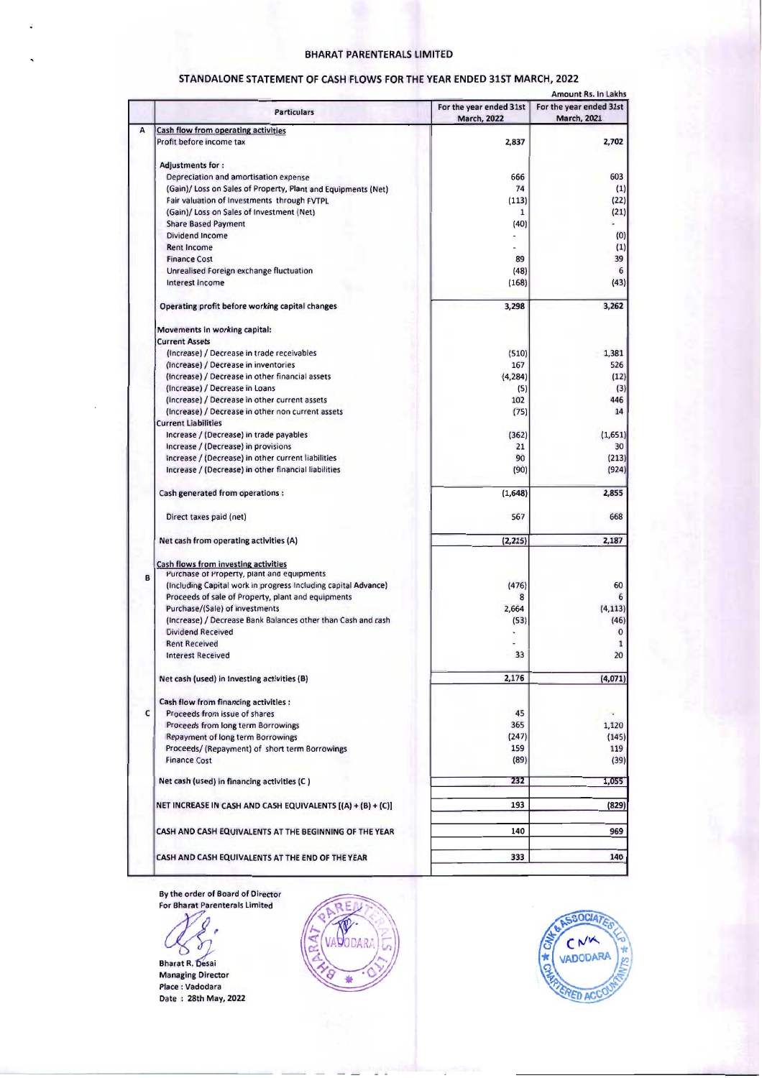### BHARAT PARENTERALS LIMITED

|   |                                                                |                                               | Amount Rs. In Lakhs                           |
|---|----------------------------------------------------------------|-----------------------------------------------|-----------------------------------------------|
|   | <b>Particulars</b>                                             | For the year ended 31st<br><b>March, 2022</b> | For the year ended 31st<br><b>March, 2021</b> |
| A | Cash flow from operating activities                            |                                               |                                               |
|   | Profit before income tax                                       | 2,837                                         | 2,702                                         |
|   | <b>Adjustments for:</b>                                        |                                               |                                               |
|   | Depreciation and amortisation expense                          | 666                                           | 603                                           |
|   |                                                                | 74                                            |                                               |
|   | (Gain)/ Loss on Sales of Property, Plant and Equipments (Net)  |                                               | (1)                                           |
|   | Fair valuation of Investments through FVTPL                    | (113)                                         | (22)                                          |
|   | (Gain)/ Loss on Sales of Investment (Net)                      | 1                                             | (21)                                          |
|   | <b>Share Based Payment</b>                                     | (40)                                          |                                               |
|   | Dividend Income                                                |                                               | (0)                                           |
|   | <b>Rent Income</b>                                             |                                               | (1)                                           |
|   | <b>Finance Cost</b>                                            | 89                                            | 39                                            |
|   |                                                                |                                               | 6                                             |
|   | Unrealised Foreign exchange fluctuation                        | (48)                                          |                                               |
|   | Interest Income                                                | (168)                                         | (43)                                          |
|   | Operating profit before working capital changes                | 3,298                                         | 3,262                                         |
|   | Movements in working capital:                                  |                                               |                                               |
|   | <b>Current Assets</b>                                          |                                               |                                               |
|   | (Increase) / Decrease in trade receivables                     | (510)                                         | 1,381                                         |
|   | (Increase) / Decrease in inventories                           | 167                                           | 526                                           |
|   |                                                                |                                               |                                               |
|   | (Increase) / Decrease in other financial assets                | (4, 284)                                      | (12)                                          |
|   | (Increase) / Decrease in Loans                                 | (5)                                           | (3)                                           |
|   | (Increase) / Decrease in other current assets                  | 102                                           | 446                                           |
|   | (Increase) / Decrease in other non current assets              | (75)                                          | 14                                            |
|   | <b>Current Liabilities</b>                                     |                                               |                                               |
|   | Increase / (Decrease) in trade payables                        | (362)                                         | (1,651)                                       |
|   | Increase / (Decrease) in provisions                            | 21                                            | 30                                            |
|   |                                                                |                                               |                                               |
|   | increase / (Decrease) in other current liabilities             | 90                                            | (213)                                         |
|   | Increase / (Decrease) in other financial liabilities           | (90)                                          | (924)                                         |
|   | Cash generated from operations :                               | (1,648)                                       | 2,855                                         |
|   | Direct taxes paid (net)                                        | 567                                           | 668                                           |
|   | Net cash from operating activities (A)                         | (2, 215)                                      | 2,187                                         |
|   | Cash flows from investing activities                           |                                               |                                               |
| B | Purchase of Property, plant and equipments                     |                                               |                                               |
|   | (Including Capital work in progress Including capital Advance) | (476)                                         | 60                                            |
|   | Proceeds of sale of Property, plant and equipments             | 8                                             | 6                                             |
|   | Purchase/(Sale) of investments                                 | 2,664                                         | (4, 113)                                      |
|   | (Increase) / Decrease Bank Balances other than Cash and cash   | (53)                                          | (46)                                          |
|   | <b>Dividend Received</b>                                       |                                               | $\bf{0}$                                      |
|   | <b>Rent Received</b>                                           |                                               | 1                                             |
|   | <b>Interest Received</b>                                       | 33                                            | 20                                            |
|   | Net cash (used) in Investing activities (B)                    | 2,176                                         | (4,071)                                       |
|   |                                                                |                                               |                                               |
|   | Cash flow from financing activities :                          |                                               |                                               |
| c | Proceeds from issue of shares                                  | 45                                            |                                               |
|   | Proceeds from long term Borrowings                             | 365                                           | 1,120                                         |
|   | Repayment of long term Borrowings                              | (247)                                         | (145)                                         |
|   | Proceeds/ (Repayment) of short term Borrowings                 | 159                                           | 119                                           |
|   | <b>Finance Cost</b>                                            | (89)                                          | (39)                                          |
|   | Net cash (used) in financing activities (C)                    | 232                                           | 1,055                                         |
|   |                                                                |                                               |                                               |
|   | NET INCREASE IN CASH AND CASH EQUIVALENTS [(A) + (B) + (C)]    | 193                                           | (829)                                         |
|   | CASH AND CASH EQUIVALENTS AT THE BEGINNING OF THE YEAR         | 140                                           | 969                                           |
|   |                                                                |                                               |                                               |
|   |                                                                | 333                                           | 140                                           |

# STANDALONE STATEMENT OF CASH FLOWS FOR THE YEAR ENDED 31ST MARCH, 2022

By the order of Board of Director

For Bharat Parenterals Limited er and R. Diesain<br>Bharat R. Diesain<br>Managing Director

Place: Vadodara Date : 28th May, 2022



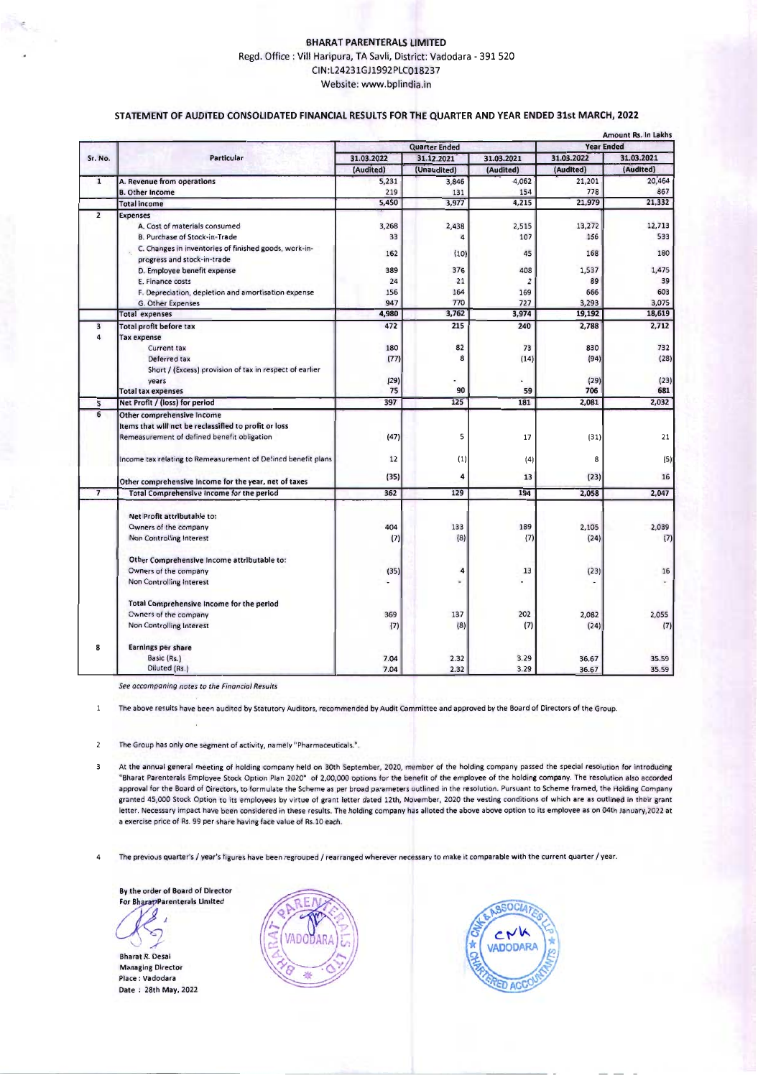#### **BHARAT PARENTERALS LIMITED** Regd.Office: ViII Haripura, TA Savli, District: Vadodara - 391 520 CIN:L24231GJ1992PLC018237 Website: www.bplindia.in

#### **STATEMENTOF AUDITED CONSOLIDATED FINANCIAL RESULTSFORTHE QUARTERAND YEAR ENDED 31st MARCH, 2022**

|                         |                                                                                      | <b>Amount Rs. In Lakhs</b><br><b>Year Ended</b> |             |                          |                          |               |
|-------------------------|--------------------------------------------------------------------------------------|-------------------------------------------------|-------------|--------------------------|--------------------------|---------------|
|                         | <b>Particular</b>                                                                    | <b>Quarter Ended</b>                            |             |                          | 31.03.2021<br>31.03.2022 |               |
| Sr. No.                 |                                                                                      | 31.03.2022                                      | 31.12.2021  | 31.03.2021               | (Audited)                | (Audited)     |
|                         |                                                                                      | (Audited)                                       | (Unaudited) | (Audited)                |                          |               |
| $\overline{1}$          | A. Revenue from operations                                                           | 5,231                                           | 3,846       | 4,062                    | 21,201                   | 20,464        |
|                         | <b>B. Other Income</b>                                                               | 219                                             | 131         | 154<br>4,215             | 778<br>21,979            | 867<br>21,332 |
|                         | <b>Total income</b>                                                                  | 5.450                                           | 3,977       |                          |                          |               |
| $\overline{2}$          | <b>Expenses</b>                                                                      |                                                 |             |                          |                          |               |
|                         | A. Cost of materials consumed                                                        | 3,268                                           | 2,438       | 2,515                    | 13,272                   | 12,713        |
|                         | B. Purchase of Stock-in-Trade                                                        | 33                                              | 4           | 107                      | 166                      | 533           |
|                         | C. Changes in inventories of finished goods, work-in-<br>progress and stock-in-trade | 162                                             | (10)        | 45                       | 168                      | 180           |
|                         | D. Employee benefit expense                                                          | 389                                             | 376         | 408                      | 1,537                    | 1,475         |
|                         | E. Finance costs                                                                     | 24                                              | 21          | $\overline{2}$           | 89                       | 39            |
|                         | F. Depreciation, depletion and amortisation expense                                  | 156                                             | 164         | 169                      | 666                      | 603           |
|                         | G. Other Expenses                                                                    | 947                                             | 770         | 727                      | 3,293                    | 3,075         |
|                         | <b>Total expenses</b>                                                                | 4.980                                           | 3,762       | 3.974                    | 19,192                   | 18,619        |
| $\overline{\mathbf{3}}$ | Total profit before tax                                                              | 472                                             | 215         | 240                      | 2.788                    | 2.712         |
| 4                       | <b>Tax expense</b>                                                                   |                                                 |             |                          |                          |               |
|                         | <b>Current tax</b>                                                                   | 180                                             | 82          | 73                       | 830                      | 732           |
|                         | Deferred tax                                                                         | (77)                                            | 8           | (14)                     | (94)                     | (28)          |
|                         | Short / (Excess) provision of tax in respect of earlier                              |                                                 |             |                          |                          |               |
|                         | vears                                                                                | (29)                                            |             |                          | (29)                     | (23)          |
|                         | <b>Total tax expenses</b>                                                            | 75                                              | 90          | 59                       | 706                      | 681           |
| 5                       | Net Profit / (loss) for period                                                       | 397                                             | 125         | 181                      | 2,081                    | 2,032         |
| 6                       | Other comprehensive Income                                                           |                                                 |             |                          |                          |               |
|                         | Items that will not be reclassified to profit or loss                                |                                                 |             |                          |                          |               |
|                         | Remeasurement of defined benefit obligation                                          | (47)                                            | 5           | 17                       | (31)                     | 21            |
|                         |                                                                                      |                                                 |             |                          |                          |               |
|                         | Income tax relating to Remeasurement of Defined benefit plans                        | 12                                              | (1)         | (4)                      | 8                        | (5)           |
|                         |                                                                                      |                                                 |             |                          |                          |               |
|                         | Other comprehensive Income for the year, net of taxes                                | (35)                                            | 4           | 13                       | (23)                     | 16            |
| $\overline{7}$          | Total Comprehensive Income for the period                                            | 362                                             | 129         | 194                      | 2,058                    | 2,047         |
|                         |                                                                                      |                                                 |             |                          |                          |               |
|                         | Net Profit attributahle to:                                                          |                                                 |             |                          |                          |               |
|                         | Owners of the company                                                                | 404                                             | 133         | 189                      | 2,105                    | 2,039         |
|                         | Non Controlling Interest                                                             | (7)                                             | (8)         | (7)                      | (24)                     | (7)           |
|                         | Other Comprehensive Income attributable to:                                          |                                                 |             |                          |                          |               |
|                         | Cwners of the company                                                                | (35)                                            | 4           | 13                       | (23)                     | 16            |
|                         | Non Controlling Interest                                                             |                                                 | ×,          | $\overline{\phantom{a}}$ |                          |               |
|                         |                                                                                      |                                                 |             |                          |                          |               |
|                         | Total Comprehensive Income for the period                                            |                                                 |             |                          |                          |               |
|                         | <b>Cwners of the company</b>                                                         | 369                                             | 137         | 202                      | 2,082                    | 2,055         |
|                         | Non Controlling Interest                                                             | (7)                                             | (8)         | (7)                      | (24)                     | (7)           |
| 8                       | Earnings per share                                                                   |                                                 |             |                          |                          |               |
|                         | Basic (Rs.)                                                                          | 7.04                                            | 2.32        | 3.29                     | 36.67                    | 35.59         |
|                         | Diluted (Rs.)                                                                        | 7.04                                            | 2.32        | 3.29                     | 36.67                    | 35.59         |

*See accompaninq notes to the Financial Results*

**The-above** results **have been audited by Statutory Auditors, recommended by Audit Committee and approved by the Board of Directors of the Group.**

**The Group has only one segment of activity, namely "Pharmaceuticals.".**  $\overline{c}$ 

 $\overline{3}$ **At the annual general meeting of holding company held on 30th September,** *2020,* **member of the holding company passed the special resolution for introducing** "Bharat Parenterals Employee Stock Option Plan 2020" of 2,00,000 options for the benefit of the employee of the holding company. The resolution also accorded approval for the Board of Directors, to formulate the Scheme as per broad parameters outlined in the resolution. Pursuant to Scheme framed, the Holding Company granted 45,000 Stock Option to its employees by virtue of grant letter dated 12th, November, 2020 the vesting conditions of which are as outlined in their grant letter. Necessary impact have been considered in these results. The holding company has alloted the above above option to its employee as on 04th January, 2022 at **a exercise price of** Rs. **99 per share having face value of Rs.l0 each.**

**4 The** previous **quarter's / year's figures have been regrouped / rearranged wherever necessary to make it comparable with the current quarter / year.**

Bythe order of Board of Director For Bharap Parenterals Limited



 $\overline{1}$ 

Bharat R. Desai **Managing Director** Place: Vadodara Date: 28th May, 2022



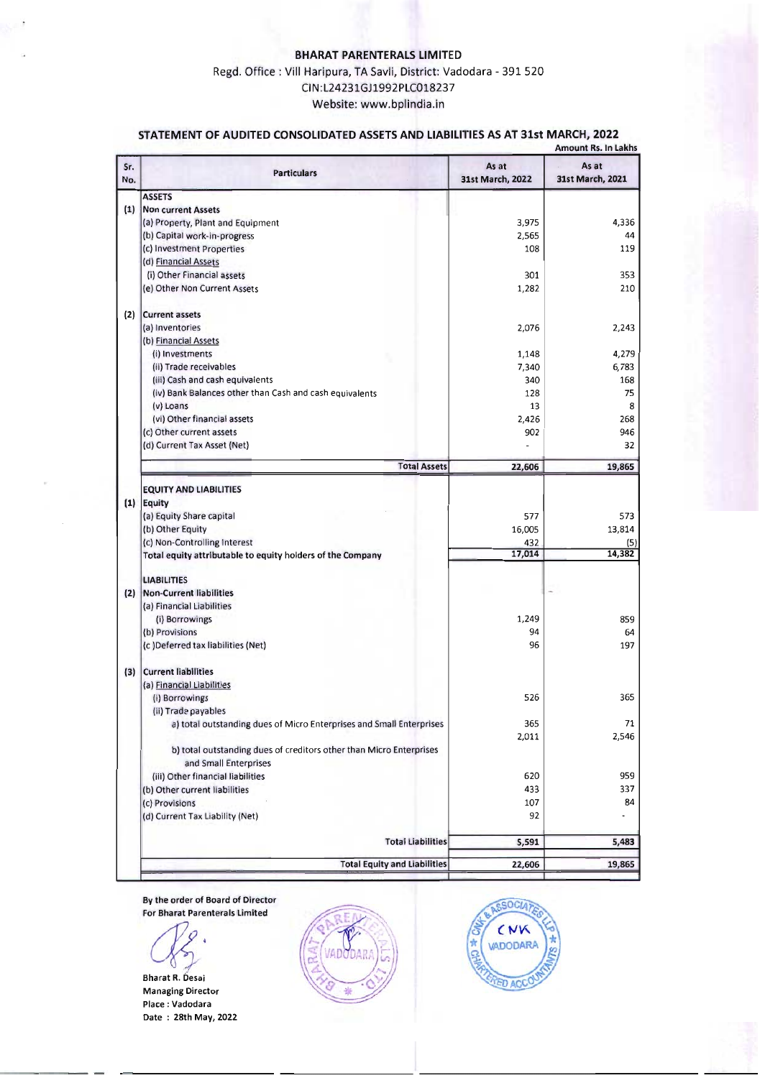## **BHARAT PARENTERALS LIMITED**

## Regd. Office: Vill Haripura, TA Savli, District: Vadodara - 391 520 CIN:L24231GJ1992PLC018237 Website: www.bplindia.in

## **STATEMENT OF AUDITED CONSOLIDATED ASSETSAND LIABILITIES AS AT 31st MARCH, 2022**

|            |                                                                                                                                                            |                                | <b>Amount Rs. In Lakhs</b>     |
|------------|------------------------------------------------------------------------------------------------------------------------------------------------------------|--------------------------------|--------------------------------|
| Sr.<br>No. | <b>Particulars</b>                                                                                                                                         | As at<br>31st March, 2022      | As at<br>31st March, 2021      |
|            | <b>ASSETS</b>                                                                                                                                              |                                |                                |
| (1)        | <b>Non current Assets</b>                                                                                                                                  |                                |                                |
|            | (a) Property, Plant and Equipment                                                                                                                          | 3,975                          | 4,336                          |
|            | (b) Capital work-in-progress                                                                                                                               | 2,565                          | 44                             |
|            | (c) Investment Properties                                                                                                                                  | 108                            | 119                            |
|            | (d) Financial Assets                                                                                                                                       |                                |                                |
|            | (i) Other Financial assets                                                                                                                                 | 301                            | 353                            |
|            | (e) Other Non Current Assets                                                                                                                               | 1,282                          | 210                            |
| (2)        | <b>Current assets</b>                                                                                                                                      |                                |                                |
|            | (a) Inventories                                                                                                                                            | 2,076                          | 2,243                          |
|            | (b) Financial Assets                                                                                                                                       |                                |                                |
|            | (i) Investments                                                                                                                                            | 1,148                          | 4,279                          |
|            | (ii) Trade receivables                                                                                                                                     | 7,340                          | 6,783                          |
|            | (iii) Cash and cash equivalents                                                                                                                            | 340                            | 168                            |
|            | (iv) Bank Balances other than Cash and cash equivalents                                                                                                    | 128                            | 75                             |
|            | $(v)$ Loans                                                                                                                                                | 13                             | 8                              |
|            | (vi) Other financial assets                                                                                                                                | 2,426                          | 268                            |
|            | (c) Other current assets                                                                                                                                   | 902                            | 946                            |
|            | (d) Current Tax Asset (Net)                                                                                                                                |                                | 32                             |
|            | <b>Total Assets</b>                                                                                                                                        | 22,606                         | 19,865                         |
|            | $(1)$ Equity<br>(a) Equity Share capital<br>(b) Other Equity<br>(c) Non-Controlling Interest<br>Total equity attributable to equity holders of the Company | 577<br>16,005<br>432<br>17,014 | 573<br>13,814<br>(5)<br>14,382 |
|            | <b>LIABILITIES</b>                                                                                                                                         |                                |                                |
|            | (2) Non-Current liabilities                                                                                                                                |                                |                                |
|            | (a) Financial Liabilities                                                                                                                                  |                                |                                |
|            | (i) Borrowings                                                                                                                                             | 1,249                          | 859                            |
|            | (b) Provisions                                                                                                                                             | 94                             | 64                             |
|            | (c) Deferred tax liabilities (Net)                                                                                                                         | 96                             | 197                            |
| (3)        | <b>Current liabilities</b><br>(a) Financial Liabilities                                                                                                    |                                |                                |
|            | (i) Borrowings<br>(ii) Trade payables                                                                                                                      | 526                            | 365                            |
|            | a) total outstanding dues of Micro Enterprises and Small Enterprises                                                                                       | 365                            | 71                             |
|            |                                                                                                                                                            | 2,011                          | 2,546                          |
|            | b) total outstanding dues of creditors other than Micro Enterprises<br>and Small Enterprises                                                               |                                |                                |
|            | (iii) Other financial liabilities                                                                                                                          | 620                            | 959                            |
|            | (b) Other current liabilities                                                                                                                              | 433                            | 337                            |
|            | (c) Provisions                                                                                                                                             | 107                            | 84                             |
|            | (d) Current Tax Liability (Net)                                                                                                                            | 92                             |                                |
|            | <b>Total Liabilities</b>                                                                                                                                   | 5,591                          | 5,483                          |
|            | <b>Total Equity and Liabilities</b>                                                                                                                        | 22,606                         | 19,865                         |
|            |                                                                                                                                                            |                                |                                |

By the order of Board of Director For Bharat Parenterals Limited

~'

Bharat R. Desai Managing Director Place: Vadodara Date : 28th May, 2022



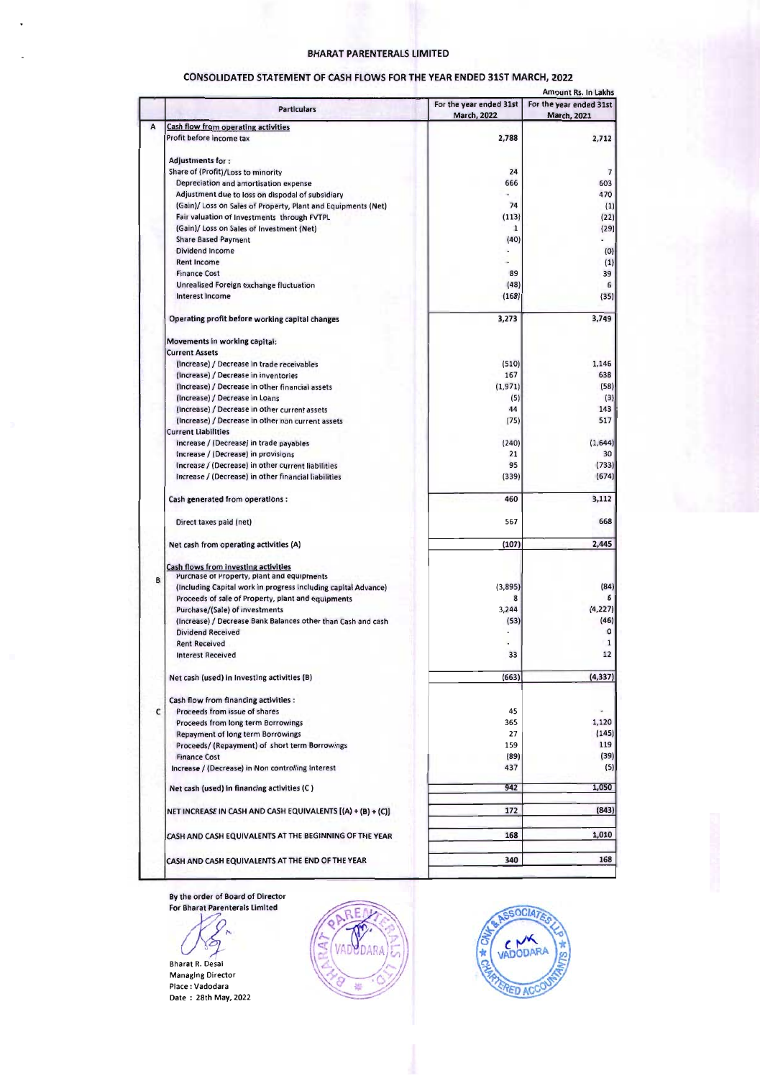#### BHARAT PARENTERAlS LIMITED

|   |                                                                | Amount Rs. In Lakhs     |                          |  |  |
|---|----------------------------------------------------------------|-------------------------|--------------------------|--|--|
|   | <b>Particulars</b>                                             | For the year ended 31st | For the year ended 31st  |  |  |
|   |                                                                | <b>March, 2022</b>      | March, 2021              |  |  |
| А | Cash flow from operating activities                            |                         |                          |  |  |
|   | Profit before income tax                                       | 2,788                   | 2,712                    |  |  |
|   |                                                                |                         |                          |  |  |
|   | <b>Adjustments for:</b>                                        |                         |                          |  |  |
|   | Share of (Profit)/Loss to minority                             | 24                      | $\overline{\phantom{a}}$ |  |  |
|   | Depreciation and amortisation expense                          | 666                     | 603                      |  |  |
|   |                                                                |                         | 470                      |  |  |
|   | Adjustment due to loss on dispodal of subsidiary               |                         |                          |  |  |
|   | (Gain)/ Loss on Sales of Property, Plant and Equipments (Net)  | 74                      | (1)                      |  |  |
|   | Fair valuation of Investments through FVTPL                    | (113)                   | (22)                     |  |  |
|   | (Gain)/ Loss on Sales of Investment (Net)                      | $\mathbf{1}$            | (29)                     |  |  |
|   | <b>Share Based Payment</b>                                     | (40)                    |                          |  |  |
|   | Dividend Income                                                |                         | (0)                      |  |  |
|   | <b>Rent Income</b>                                             |                         | (1)                      |  |  |
|   | <b>Finance Cost</b>                                            | 89                      | 39                       |  |  |
|   |                                                                |                         |                          |  |  |
|   | Unrealised Foreign exchange fluctuation                        | (48)                    | 6                        |  |  |
|   | Interest Income                                                | (168)                   | (35)                     |  |  |
|   |                                                                |                         |                          |  |  |
|   | Operating profit before working capital changes                | 3,273                   | 3,749                    |  |  |
|   | Movements in working capital:                                  |                         |                          |  |  |
|   | <b>Current Assets</b>                                          |                         |                          |  |  |
|   | (Increase) / Decrease in trade receivables                     | (510)                   | 1,146                    |  |  |
|   | (Increase) / Decrease in inventories                           | 167                     | 638                      |  |  |
|   |                                                                |                         |                          |  |  |
|   | (Increase) / Decrease in other financial assets                | (1,971)                 | (58)                     |  |  |
|   | (Increase) / Decrease in Loans                                 | (5)                     | (3)                      |  |  |
|   | (Increase) / Decrease in other current assets                  | 44                      | 143                      |  |  |
|   | (Increase) / Decrease in other non current assets              | (75)                    | 517                      |  |  |
|   | <b>Current Liabilities</b>                                     |                         |                          |  |  |
|   | Increase / (Decrease) in trade payables                        | (240)                   | (1,644)                  |  |  |
|   |                                                                |                         |                          |  |  |
|   | Increase / (Decrease) in provisions                            | 21                      | 30                       |  |  |
|   | Increase / (Decrease) in other current liabilities             | 95                      | (733)                    |  |  |
|   | Increase / (Decrease) in other financial liabilities           | (339)                   | (674)                    |  |  |
|   | Cash generated from operations:                                | 460                     | 3,112                    |  |  |
|   | Direct taxes paid (net)                                        | 567                     | 668                      |  |  |
|   |                                                                |                         |                          |  |  |
|   | Net cash from operating activities (A)                         | (107)                   | 2,445                    |  |  |
|   |                                                                |                         |                          |  |  |
|   | Cash flows from investing activities                           |                         |                          |  |  |
| B | Purchase of Property, plant and equipments                     |                         |                          |  |  |
|   | (Including Capital work in progress Including capital Advance) | (3,895)                 | (84)                     |  |  |
|   | Proceeds of sale of Property, plant and equipments             | 8                       |                          |  |  |
|   | Purchase/(Sale) of investments                                 | 3,244                   | (4, 227)                 |  |  |
|   | (Increase) / Decrease Bank Balances other than Cash and cash   | (53)                    | (46)                     |  |  |
|   | <b>Dividend Received</b>                                       |                         | 0                        |  |  |
|   |                                                                |                         |                          |  |  |
|   | <b>Rent Received</b>                                           |                         | 1                        |  |  |
|   | <b>Interest Received</b>                                       | 33                      | 12                       |  |  |
|   | Net cash (used) in Investing activities (B)                    | (663)                   | (4, 337)                 |  |  |
|   |                                                                |                         |                          |  |  |
|   | Cash flow from financing activities :                          |                         |                          |  |  |
| C | Proceeds from issue of shares                                  | 45                      |                          |  |  |
|   | Proceeds from long term Borrowings                             | 365                     | 1,120                    |  |  |
|   | Repayment of long term Borrowings                              | 27                      | (145)                    |  |  |
|   | Proceeds/ (Repayment) of short term Borrowings                 | 159                     | 119                      |  |  |
|   | <b>Finance Cost</b>                                            | (89)                    | (39)                     |  |  |
|   | Increase / (Decrease) in Non controlling Interest              | 437                     | (5)                      |  |  |
|   |                                                                |                         |                          |  |  |
|   | Net cash (used) in financing activities (C)                    | 942                     | 1,050                    |  |  |
|   |                                                                |                         |                          |  |  |
|   | NET INCREASE IN CASH AND CASH EQUIVALENTS [(A) + (B) + (C)]    | 172                     | (843)                    |  |  |
|   |                                                                |                         |                          |  |  |
|   | CASH AND CASH EQUIVALENTS AT THE BEGINNING OF THE YEAR         | 168                     | 1,010                    |  |  |
|   |                                                                |                         |                          |  |  |
|   | CASH AND CASH EQUIVALENTS AT THE END OF THE YEAR               | 340                     | 168                      |  |  |

## CONSOLIDATED STATEMENT OF CASH FLOWS FOR THE YEAR ENDED 31ST MARCH, 2022

By the order of Board of Director

or Bharat Parenterals Limited

Bharat R. Desai

Bharat R. Desai Managing Director Place: Vadodara Date : 28th May, 2022



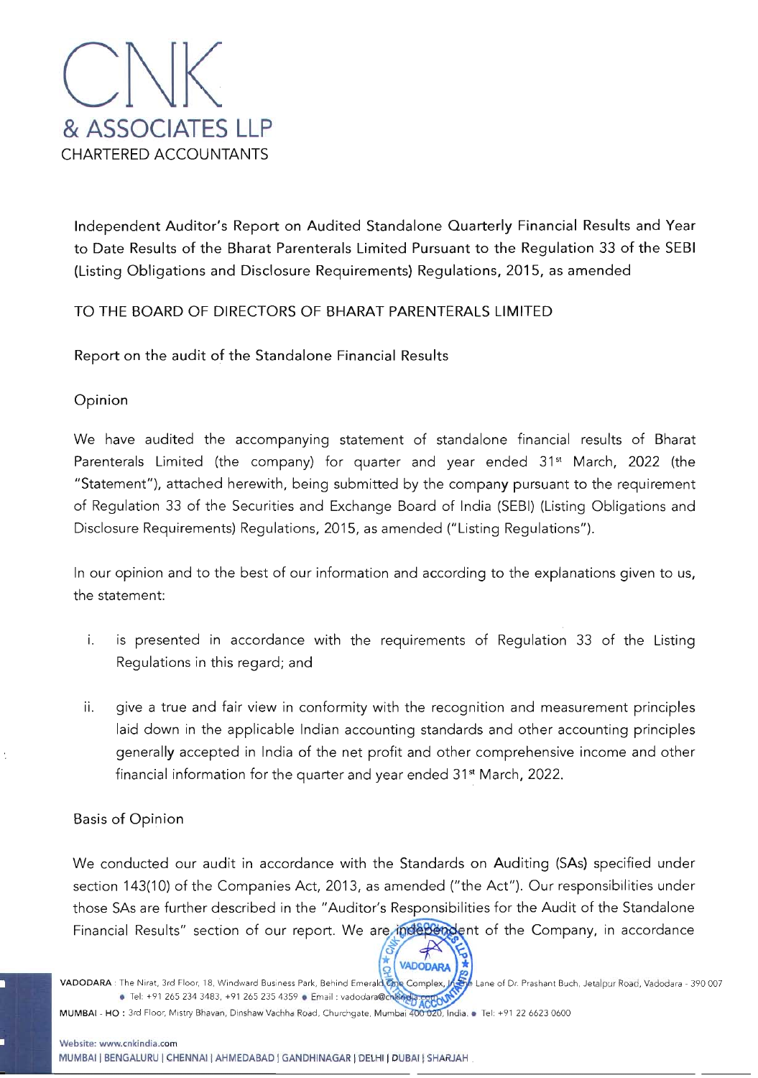

Independent Auditor's Report on Audited Standalone Quarterly Financial Results and Year to Date Results of the Bharat Parenterals Limited Pursuant to the Regulation 33 of the SEBI (Listing Obligations and Disclosure Requirements) Regulations, 2015, as amended

# TO THE BOARD OF DIRECTORS OF BHARAT PARENTERALS LIMITED

Report on the audit of the Standalone Financial Results

Opinion

We have audited the accompanying statement of standalone financial results of Bharat Parenterals Limited (the company) for quarter and year ended 31<sup>st</sup> March, 2022 (the "Statement"), attached herewith, being submitted by the company pursuant to the requirement of Regulation 33 of the Securities and Exchange Board of India (SEBI) (Listing Obligations and Disclosure Requirements) Regulations, 2015, as amended ("Listing Regulations").

In our opinion and to the best of our information and according to the explanations given to us, the statement:

- i. is presented in accordance with the requirements of Regulation 33 of the Listing Regulations in this regard; and
- ii. give a true and fair view in conformity with the recognition and measurement principles laid down in the applicable Indian accounting standards and other accounting principles generally accepted in India of the net profit and other comprehensive income and other financial information for the quarter and year ended 31<sup>st</sup> March, 2022.

# **Basis of Opinion**

We conducted our audit in accordance with the Standards on Auditing (SAs) specified under section 143(10) of the Companies Act, 2013, as amended ("the Act"). Our responsibilities under those SAs are further described in the "Auditor's Responsibilities for the Audit of the Standalone Financial Results" section of our report. We are independent of the Company, in accordance

Land<br>Lane of Dr. Prashant Buch, Jetalpur Road, Vadodara - 390 007<br>Strategie VADODARA : The Nirat, 3rd Floor, 18, Windward Business Park, Behind Emerald One Complex, • Tel: +91 265 234 3483, +91 265 235 4359 • Email : vadodara@change

**VADODARA** 

MUMBAI - HO : 3rd Floor, Mistry Bhavan, Dinshaw Vachha Road, Churchgate, Mumbai 400 020, India. . Tel: +91 22 6623 0600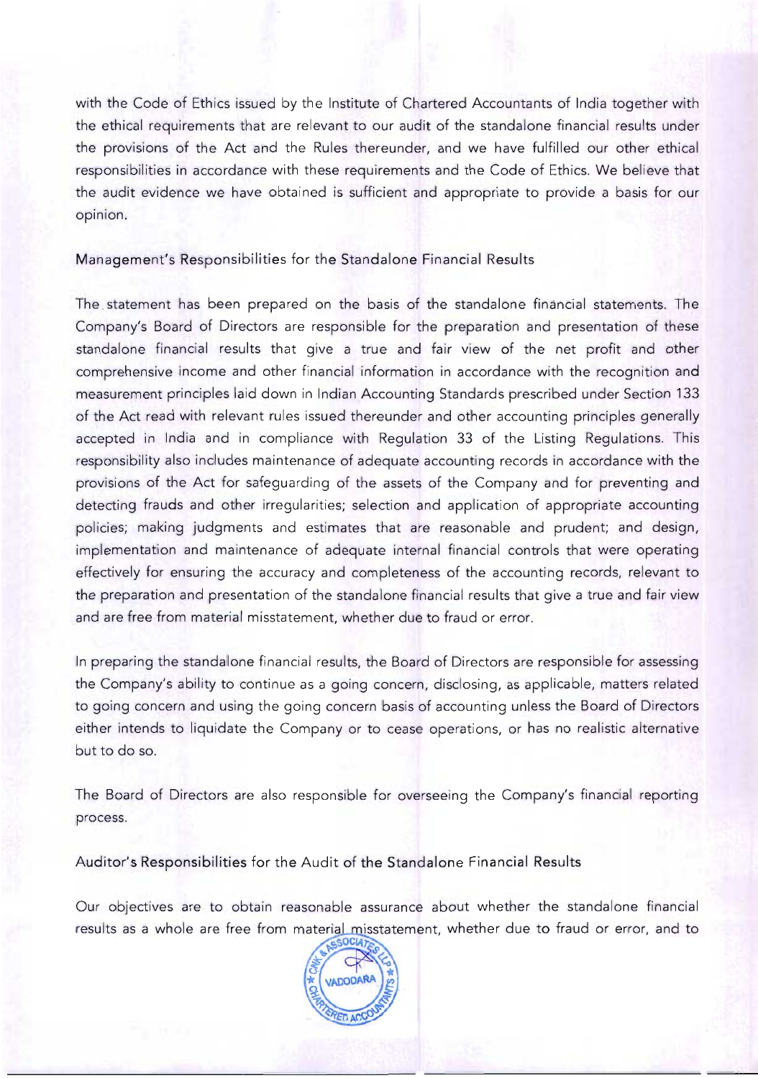with the Code of Ethics issued by the Institute of Chartered Accountants of India together with the ethical requirements that are relevant to our audit of the standalone financial results under the provisions of the Act and the Rules thereunder, and we have fulfilled our other ethical responsibilities in accordance with these requirements and the Code of Ethics. We believe that the audit evidence we have obtained is sufficient and appropriate to provide a basis for our opinion.

## Management's Responsibilities for the Standalone Financial Results

The. statement has been prepared on the basis of the standalone financial statements. The Company's Board of Directors are responsible for the preparation and presentation of these standalone financial results that give a true and fair view of the net profit and other comprehensive income and other financial information in accordance with the recognition and measurement principles laid down in Indian Accounting Standards prescribed under Section 133 of the Act read with relevant rules issued thereunder and other accounting principles generally accepted in India and in compliance with Regulation 33 of the Listing Regulations. This responsibility also includes maintenance of adequate accounting records in accordance with the provisions of the Act for safeguarding of the assets of the Company and for preventing and detecting frauds and other irregularities; selection and application of appropriate accounting policies; making judgments and estimates that are reasonable and prudent; and design, implementation and maintenance of adequate internal financial controls that were operating effectively for ensuring the accuracy and completeness of the accounting records, relevant to the preparation and presentation of the standalone financial results that give a true and fair view and are free from material misstatement, whether due to fraud or error.

In preparing the standalone financial results, the Board of Directors are responsible for assessing the Company's ability to continue as a going concern, disclosing, as applicable, matters related to going concern and using the going concern basis of accounting unless the Board of Directors either intends to liquidate the Company or to cease operations, or has no realistic alternative but to do so.

The Board of Directors are also responsible for overseeing the Company's financial reporting process.

Auditor's Responsibilities for the Audit of the Standalone Financial Results

Our objectives are to obtain reasonable assurance about whether the standalone financial results as a whole are free from material misstatement, whether due to fraud or error, and to

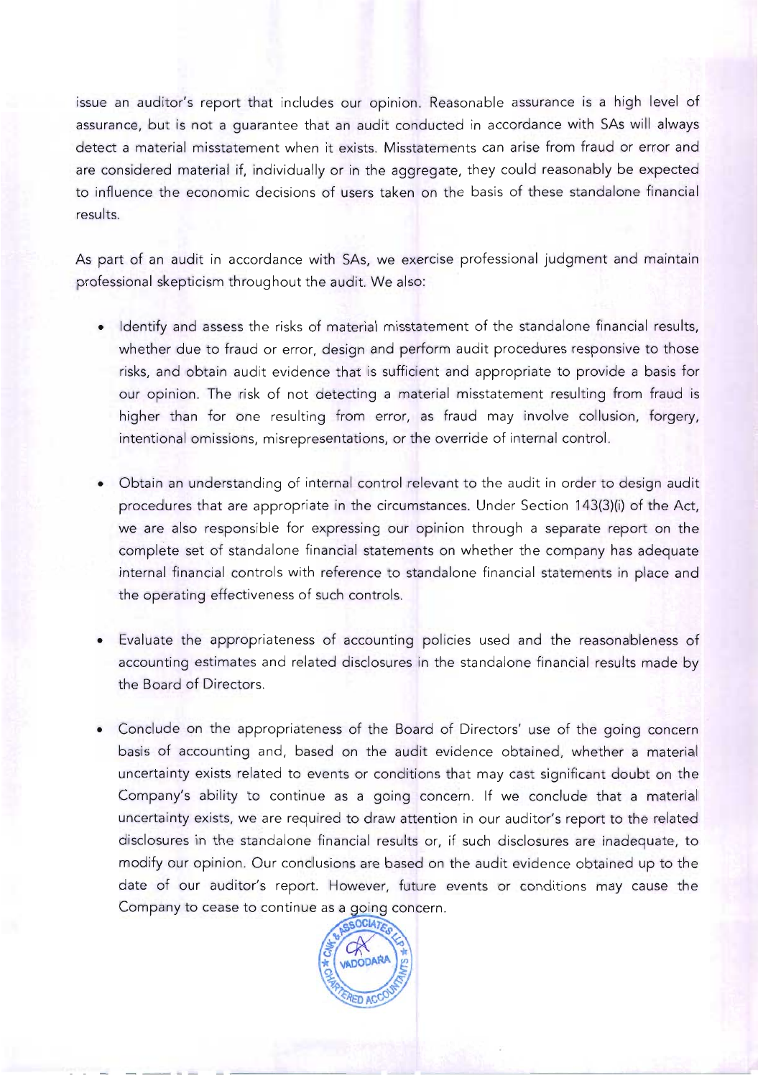issue an auditor's report that includes our opinion. Reasonable assurance is a high level of assurance, but is not a guarantee that an audit conducted in accordance with SAs will always detect a material misstatement when it exists. Misstatements can arise from fraud or error and are considered material if, individually or in the aggregate, they could reasonably be expected to influence the economic decisions of users taken on the basis of these standalone financial results.

As part of an audit in accordance with SAs, we exercise professional judgment and maintain professional skepticism throughout the audit. We also:

- Identify and assess the risks of material misstatement of the standalone financial results, whether due to fraud or error, design and perform audit procedures responsive to those risks, and obtain audit evidence that is sufficient and appropriate to provide a basis for our opinion. The risk of not detecting a material misstatement resulting from fraud is higher than for one resulting from error, as fraud may involve collusion, forgery, intentional omissions, misrepresentations, or the override of internal control.
- Obtain an understanding of internal control relevant to the audit in order to design audit procedures that are appropriate in the circumstances. Under Section 143(3)(i) of the Act, we are also responsible for expressing our opinion through a separate report on the complete set of standalone financial statements on whether the company has adequate internal financial controls with reference to standalone financial statements in place and the operating effectiveness of such controls.
- Evaluate the appropriateness of accounting policies used and the reasonableness of accounting estimates and related disclosures in the standalone financial results made by the Board of Directors.
- Conclude on the appropriateness of the Board of Directors' use of the going concern basis of accounting and, based on the audit evidence obtained, whether a material uncertainty exists related to events or conditions that may cast significant doubt on the Company's ability to continue as a going concern. If we conclude that a material uncertainty exists, we are required to draw attention in our auditor's report to the related disclosures in the standalone financial results or, if such disclosures are inadequate, to modify our opinion. Our conclusions are based on the audit evidence obtained up to the date of our auditor's report. However, future events or conditions may cause theCompany to cease to continue as a going concern.

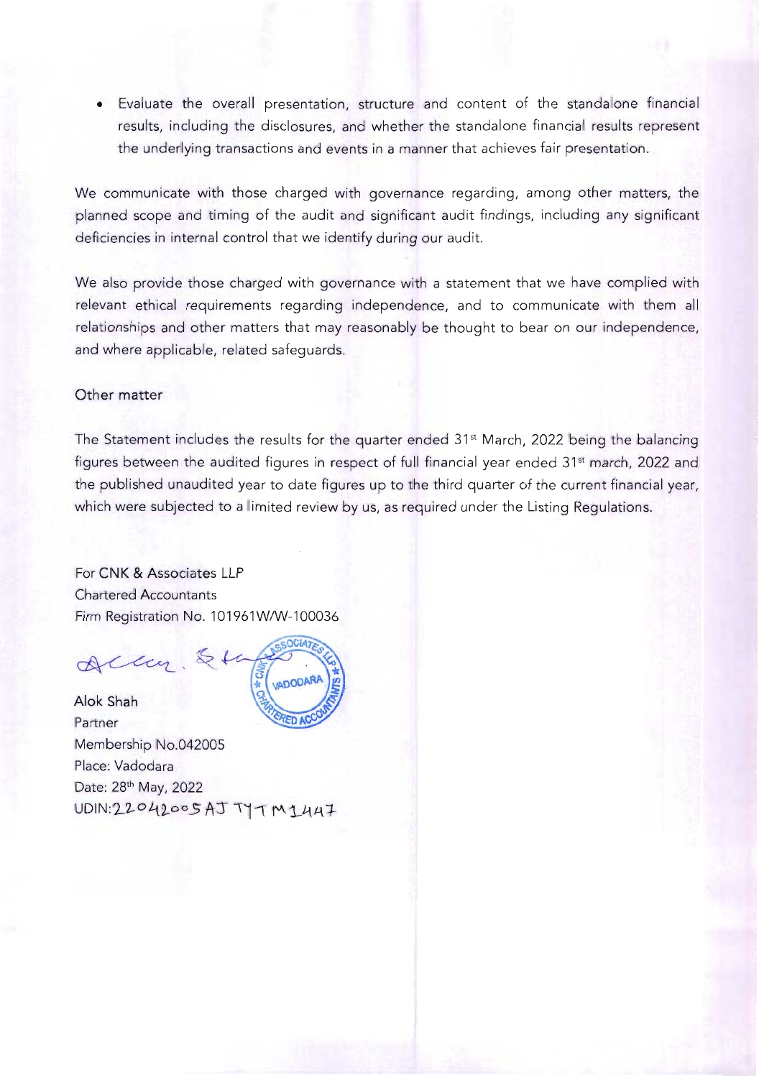• Evaluate the overall presentation, structure and content of the standalone financial results, including the disclosures, and whether the standalone financial results represent the underlying transactions and events in a manner that achieves fair presentation.

We communicate with those charged with governance regarding, among other matters, the planned scope and timing of the audit and significant audit findings, including any significant deficiencies in internal control that we identify during our audit.

We also provide those charged with governance with a statement that we have complied with relevant ethical requirements regarding independence, and to communicate with them all relationships and other matters that may reasonably be thought to bear on our independence, and where applicable, related safeguards.

## **Other** matter

The Statement includes the results for the quarter ended 31<sup>st</sup> March, 2022 being the balancing figures between the audited figures in respect of full financial year ended 31<sup>st</sup> march, 2022 and the published unaudited year to date figures up to the third quarter of the current financial year, which were subjected to a limited review by us, as required under the Listing Regulations.

For **CNK & Associates LLP** Chartered Accountants Firm Registration No. 101961W/W-100036

Accu. &to

Alok Shah Partner Membership No.042005 Place: Vadodara Date: 28<sup>th</sup> May, 2022  $UDIN:22042005ATTTTM1447$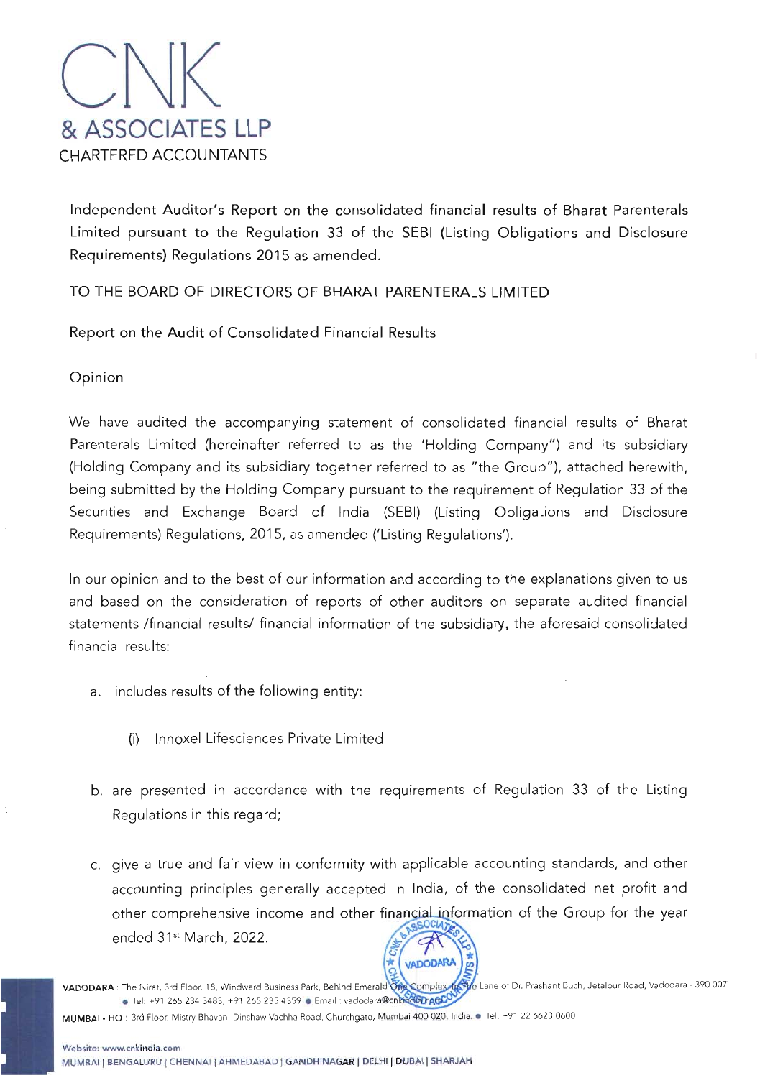

Independent Auditor's Report on the consolidated financial results of Bharat Parenterals Limited pursuant to the Regulation 33 of the SEBI (Listing Obligations and Disclosure Requirements) Regulations 2015 as amended.

# TO THE BOARD OF DIRECTORS OF BHARAT PARENTERALS LIMITED

Report on the Audit of Consolidated Financial Results

Opinion

We have audited the accompanying statement of consolidated financial results of Bharat Parenterals Limited (hereinafter referred to as the 'Holding Company") and its subsidiary (Holding Company and its subsidiary together referred to as "the Group"), attached herewith, being submitted by the Holding Company pursuant to the requirement of Regulation 33 of the Securities and Exchange Board of India (SEBI) (Listing Obligations and Disclosure Requirements) Regulations, 2015, as amended ('Listing Regulations').

In our opinion and to the best of our information and according to the explanations given to us and based on the consideration of reports of other auditors on separate audited financial statements /financial results/ financial information of the subsidiary, the aforesaid consolidated financial results:

- a. includes results of the following entity:
	- (i) Innoxel Lifesciences Private Limited
- b. are presented in accordance with the requirements of Regulation 33 of the Listing Regulations in this regard;
- c. give a true and fair view in conformity with applicable accounting standards, and other accounting principles generally accepted in India, of the consolidated net profit and other comprehensive income and other financial information of the Group for the year ended 31<sup>st</sup> March, 2022.

VADODARA: The Nirat, 3rd Floor, 18, Windward Business Park, Behind Emerald Of • Tel: +91 265 234 3483, +91 265 235 4359 • Email: vadodara@cnkhidELAGCO

VADODARA

MUMBAI • HO : 3rd Floor, Mistry Bhavan, Dinshaw Vachha Road, Churchgate, Mumbai 400 020, India.• Tel: +91 226623 0600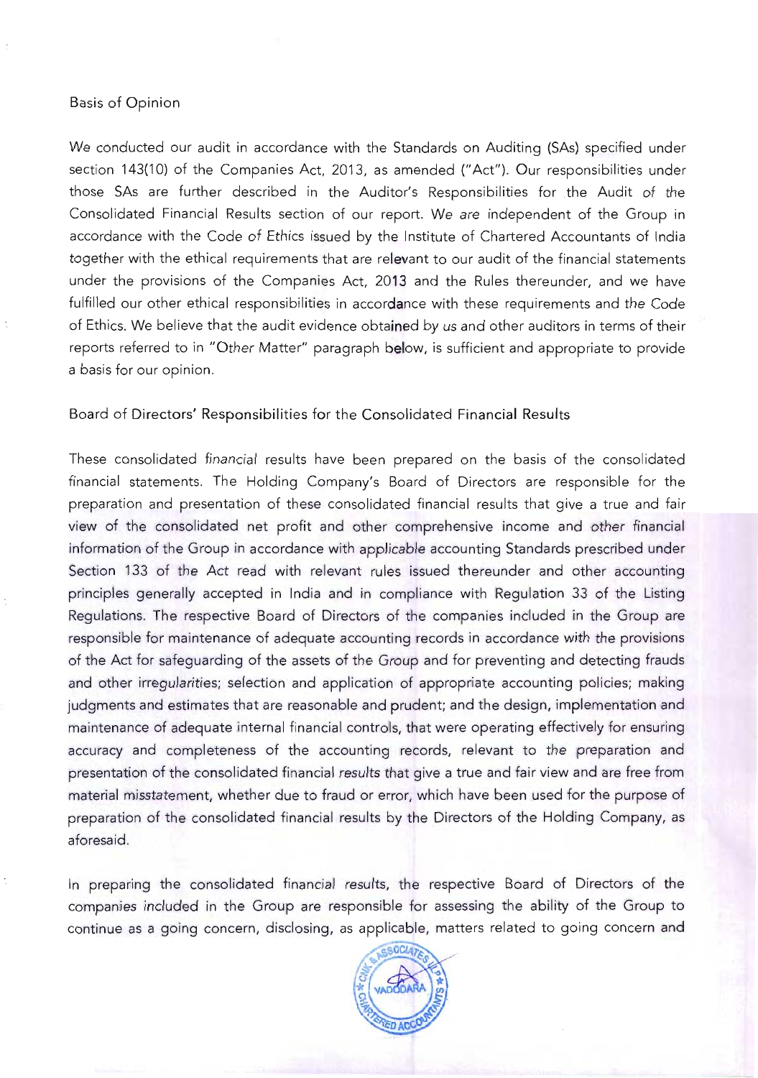## Basis of Opinion

We conducted our audit in accordance with the Standards on Auditing (SAs) specified under section 143(10) of the Companies Act, 2013, as amended ("Act"). Our responsibilities under those SAs are further described in the Auditor's Responsibilities for the Audit of the Consolidated Financial Results section of our report. We are independent of the Group in accordance with the Code of Ethics issued by the Institute of Chartered Accountants of India together with the ethical requirements that are relevant to our audit of the financial statements under the provisions of the Companies Act, 2013 and the Rules thereunder, and we have fulfilled our other ethical responsibilities in accordance with these requirements and the Code of Ethics. We believe that the audit evidence obtained by us and other auditors in terms of their reports referred to in "Other Matter" paragraph below, is sufficient and appropriate to provide a basis for our opinion.

## Board of Directors' Responsibilities for the Consolidated Financial Results

These consolidated financial results have been prepared on the basis of the consolidated financial statements. The Holding Company's Board of Directors are responsible for the preparation and presentation of these consolidated financial results that give a true and fair view of the consolidated net profit and other comprehensive income and other financial information of the Group in accordance with applicable accounting Standards prescribed under Section 133 of the Act read with relevant rules issued thereunder and other accounting principles generally accepted in India and in compliance with Regulation 33 of the Listing Regulations. The respective Board of Directors of the companies included in the Group are responsible for maintenance of adequate accounting records in accordance with the provisions of the Act for safeguarding of the assets of the Group and for preventing and detecting frauds and other irregularities; selection and application of appropriate accounting policies; making judgments and estimates that are reasonable and prudent; and the design, implementation and maintenance of adequate internal financial controls, that were operating effectively for ensuring accuracy and completeness of the accounting records, relevant to the preparation and presentation of the consolidated financial results that give a true and fair view and are free from material misstatement, whether due to fraud or error, which have been used for the purpose of preparation of the consolidated financial results by the Directors of the Holding Company, as aforesaid.

In preparing the consolidated financial results, the respective Board of Directors of the companies included in the Group are responsible for assessing the ability of the Group to continue as a going concern, disclosing, as applicable, matters related to going concern and

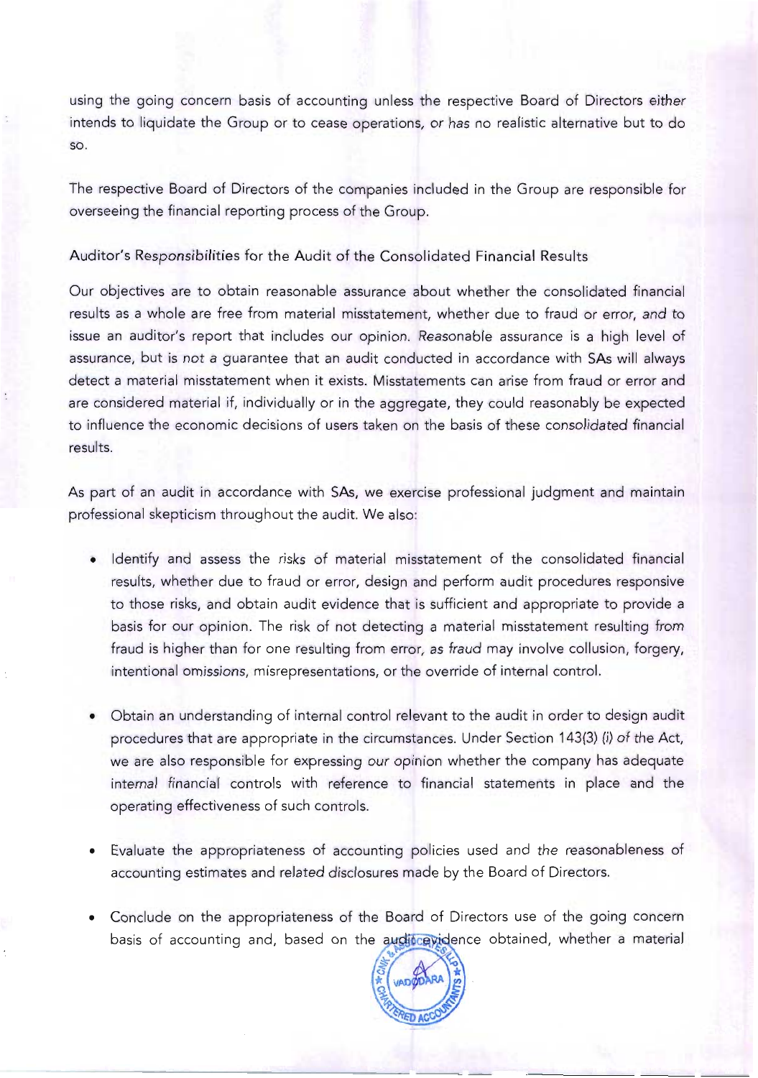using the going concern basis of accounting unless the respective Board of Directors either intends to liquidate the Group or to cease operations, or has no realistic alternative but to do so.

The respective Board of Directors of the companies included in the Group are responsible for overseeing the financial reporting process of the Group.

Auditor's Responsibilities for the Audit of the Consolidated Financial Results

Our objectives are to obtain reasonable assurance about whether the consolidated financial results as a whole are free from material misstatement, whether due to fraud or error, and to issue an auditor's report that includes our opinion. Reasonable assurance is a high level of assurance, but is not a guarantee that an audit conducted in accordance with SAs will always detect a material misstatement when it exists. Misstatements can arise from fraud or error and are considered material if, individually or in the aggregate, they could reasonably be expected to influence the economic decisions of users taken on the basis of these consolidated financial results.

As part of an audit in accordance with SAs, we exercise professional judgment and maintain professional skepticism throughout the audit. We also:

- Identify and assess the risks of material misstatement of the consolidated financial results, whether due to fraud or error, design and perform audit procedures responsive to those risks, and obtain audit evidence that is sufficient and appropriate to provide a basis for our opinion. The risk of not detecting a material misstatement resulting from fraud is higher than for one resulting from error, as fraud may involve collusion, forgery, intentional omissions, misrepresentations, or the override of internal control.
- Obtain an understanding of internal control relevant to the audit in order to design audit procedures that are appropriate in the circumstances. Under Section 143(3) (i) of the Act, we are also responsible for expressing our opinion whether the company has adequate internal financial controls with reference to financial statements in place and the operating effectiveness of such controls.
- Evaluate the appropriateness of accounting policies used and the reasonableness of accounting estimates and related disclosures made by the Board of Directors.
- Conclude on the appropriateness of the Board of Directors use of the going concern basis of accounting and, based on the audit cavidence obtained, whether a material

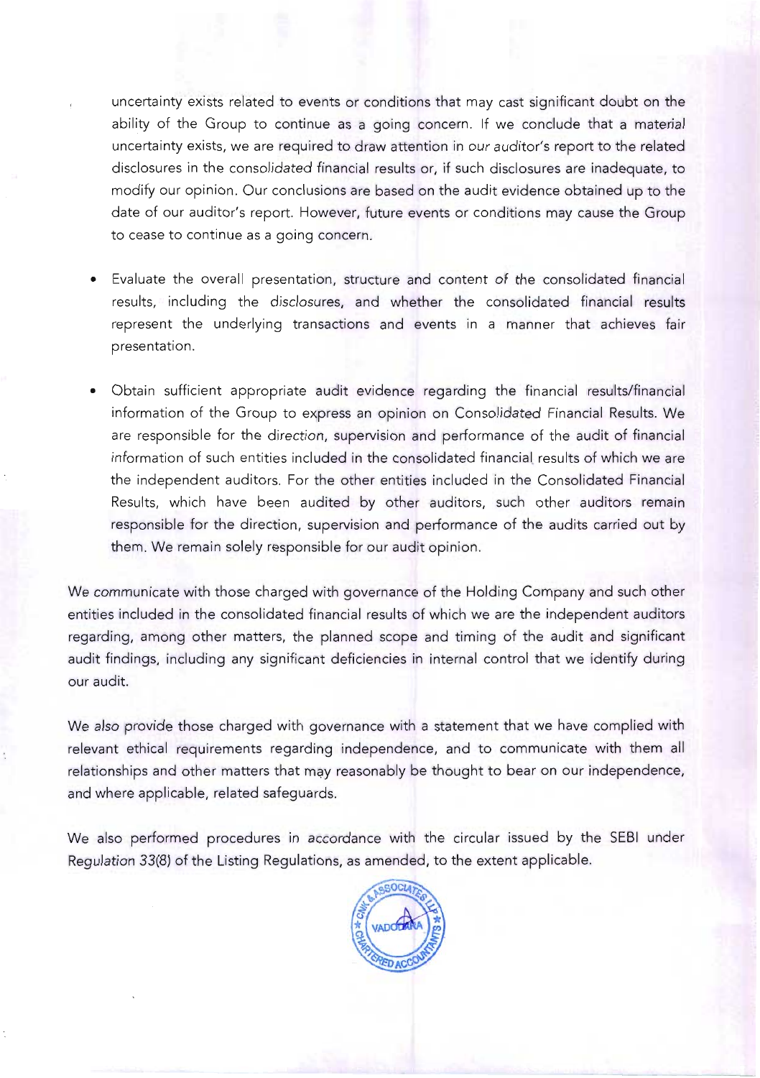uncertainty exists related to events or conditions that may cast significant doubt on the ability of the Group to continue as a going concern. If we conclude that a material uncertainty exists, we are required to draw attention in our auditor's report to the related disclosures in the consolidated financial results or, if such disclosures are inadequate, to modify our opinion. Our conclusions are based on the audit evidence obtained up to the date of our auditor's report. However, future events or conditions may cause the Group to cease to continue as a going concern.

- Evaluate the overall presentation, structure and content of the consolidated financial results, including the disclosures, and whether the consolidated financial results represent the underlying transactions and events in a manner that achieves fair presentation.
- Obtain sufficient appropriate audit evidence regarding the financial results/financial information of the Group to express an opinion on Consolidated Financial Results. We are responsible for the direction, supervision and performance of the audit of financial information of such entities included in the consolidated financial results of which we are the independent auditors. For the other entities included in the Consolidated Financial Results, which have been audited by other auditors, such other auditors remain responsible for the direction, supervision and performance of the audits carried out by them. We remain solely responsible for our audit opinion.

We communicate with those charged with governance of the Holding Company and such other entities included in the consolidated financial results of which we are the independent auditors regarding, among other matters, the planned scope and timing of the audit and significant audit findings, including any significant deficiencies in internal control that we identify during our audit.

We also provide those charged with governance with a statement that we have complied with relevant ethical requirements regarding independence, and to communicate with them all relationships and other matters that may reasonably be thought to bear on our independence, and where applicable, related safeguards.

We also performed procedures in accordance with the circular issued by the SEBI under Regulation 33(8) of the Listing Regulations, as amended, to the extent applicable.